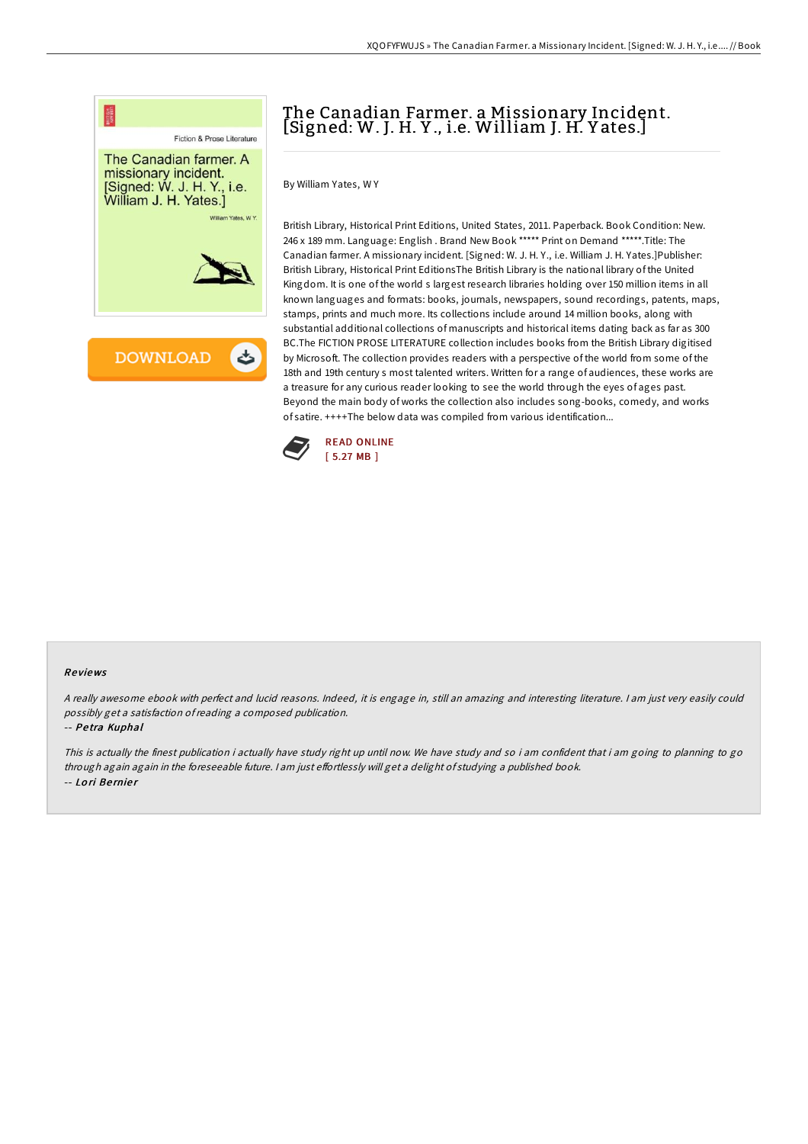

## The Canadian Farmer. a Missionary Incident. [Signed: W. J. H. Y ., i.e. William J. H. Y ates.]

By William Yates, W Y

British Library, Historical Print Editions, United States, 2011. Paperback. Book Condition: New. 246 x 189 mm. Language: English . Brand New Book \*\*\*\*\* Print on Demand \*\*\*\*\*.Title: The Canadian farmer. A missionary incident. [Signed: W. J. H. Y., i.e. William J. H. Yates.]Publisher: British Library, Historical Print EditionsThe British Library is the national library of the United Kingdom. It is one of the world s largest research libraries holding over 150 million items in all known languages and formats: books, journals, newspapers, sound recordings, patents, maps, stamps, prints and much more. Its collections include around 14 million books, along with substantial additional collections of manuscripts and historical items dating back as far as 300 BC.The FICTION PROSE LITERATURE collection includes books from the British Library digitised by Microsoft. The collection provides readers with a perspective of the world from some of the 18th and 19th century s most talented writers. Written for a range of audiences, these works are a treasure for any curious reader looking to see the world through the eyes of ages past. Beyond the main body of works the collection also includes song-books, comedy, and works of satire. ++++The below data was compiled from various identification...



## Re views

<sup>A</sup> really awesome ebook with perfect and lucid reasons. Indeed, it is engage in, still an amazing and interesting literature. <sup>I</sup> am just very easily could possibly get <sup>a</sup> satisfaction ofreading <sup>a</sup> composed publication.

-- Pe tra Kuphal

This is actually the finest publication i actually have study right up until now. We have study and so i am confident that i am going to planning to go through again again in the foreseeable future. I am just effortlessly will get a delight of studying a published book. -- Lo ri Be rnie r